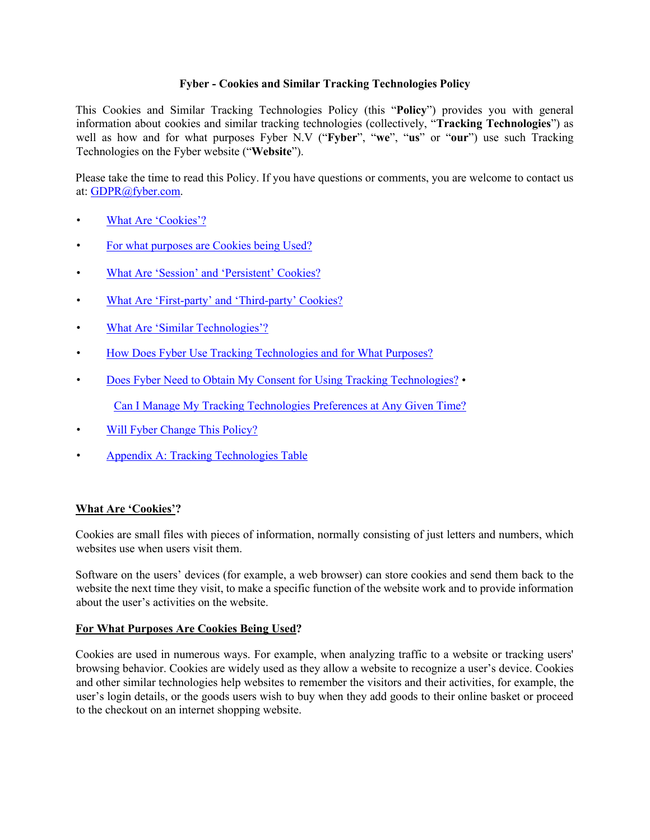## **Fyber - Cookies and Similar Tracking Technologies Policy**

This Cookies and Similar Tracking Technologies Policy (this "**Policy**") provides you with general information about cookies and similar tracking technologies (collectively, "**Tracking Technologies**") as well as how and for what purposes Fyber N.V ("**Fyber**", "**we**", "**us**" or "**our**") use such Tracking Technologies on the Fyber website ("**Website**").

Please take the time to read this Policy. If you have questions or comments, you are welcome to contact us at: GDPR@fyber.com.

- What Are 'Cookies'?
- For what purposes are Cookies being Used?
- What Are 'Session' and 'Persistent' Cookies?
- What Are 'First-party' and 'Third-party' Cookies?
- What Are 'Similar Technologies'?
- How Does Fyber Use Tracking Technologies and for What Purposes?
- Does Fyber Need to Obtain My Consent for Using Tracking Technologies? •

Can I Manage My Tracking Technologies Preferences at Any Given Time?

- Will Fyber Change This Policy?
- Appendix A: Tracking Technologies Table

### **What Are 'Cookies'?**

Cookies are small files with pieces of information, normally consisting of just letters and numbers, which websites use when users visit them.

Software on the users' devices (for example, a web browser) can store cookies and send them back to the website the next time they visit, to make a specific function of the website work and to provide information about the user's activities on the website.

#### **For What Purposes Are Cookies Being Used?**

Cookies are used in numerous ways. For example, when analyzing traffic to a website or tracking users' browsing behavior. Cookies are widely used as they allow a website to recognize a user's device. Cookies and other similar technologies help websites to remember the visitors and their activities, for example, the user's login details, or the goods users wish to buy when they add goods to their online basket or proceed to the checkout on an internet shopping website.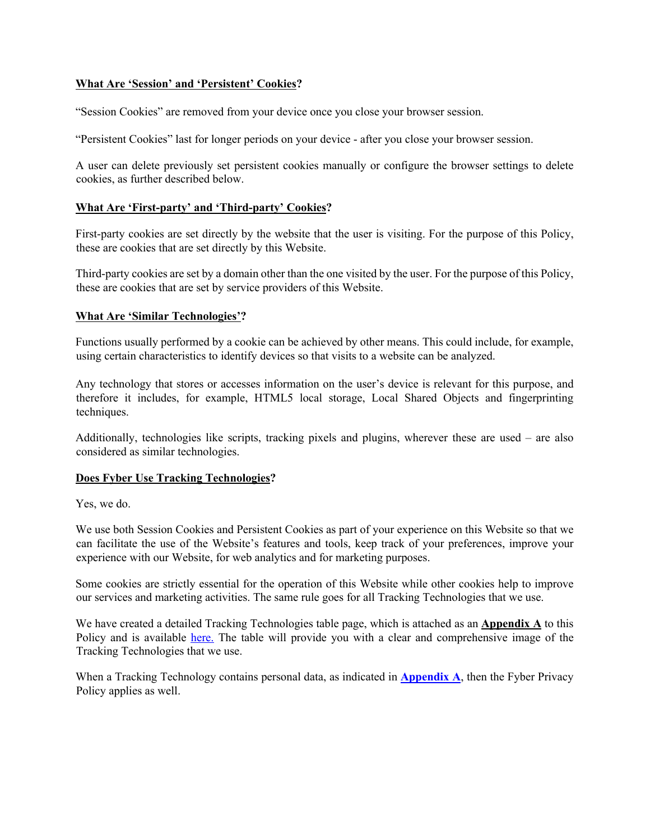### **What Are 'Session' and 'Persistent' Cookies?**

"Session Cookies" are removed from your device once you close your browser session.

"Persistent Cookies" last for longer periods on your device - after you close your browser session.

A user can delete previously set persistent cookies manually or configure the browser settings to delete cookies, as further described below.

#### **What Are 'First-party' and 'Third-party' Cookies?**

First-party cookies are set directly by the website that the user is visiting. For the purpose of this Policy, these are cookies that are set directly by this Website.

Third-party cookies are set by a domain other than the one visited by the user. For the purpose of this Policy, these are cookies that are set by service providers of this Website.

### **What Are 'Similar Technologies'?**

Functions usually performed by a cookie can be achieved by other means. This could include, for example, using certain characteristics to identify devices so that visits to a website can be analyzed.

Any technology that stores or accesses information on the user's device is relevant for this purpose, and therefore it includes, for example, HTML5 local storage, Local Shared Objects and fingerprinting techniques.

Additionally, technologies like scripts, tracking pixels and plugins, wherever these are used – are also considered as similar technologies.

#### **Does Fyber Use Tracking Technologies?**

Yes, we do.

We use both Session Cookies and Persistent Cookies as part of your experience on this Website so that we can facilitate the use of the Website's features and tools, keep track of your preferences, improve your experience with our Website, for web analytics and for marketing purposes.

Some cookies are strictly essential for the operation of this Website while other cookies help to improve our services and marketing activities. The same rule goes for all Tracking Technologies that we use.

We have created a detailed Tracking Technologies table page, which is attached as an **Appendix A** to this Policy and is available here. The table will provide you with a clear and comprehensive image of the Tracking Technologies that we use.

When a Tracking Technology contains personal data, as indicated in **Appendix A**, then the Fyber Privacy Policy applies as well.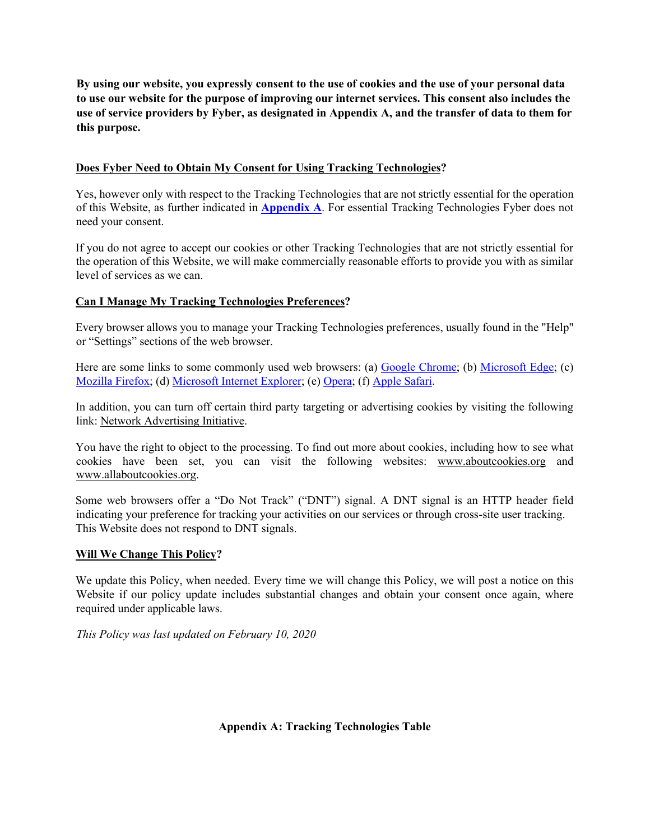**By using our website, you expressly consent to the use of cookies and the use of your personal data to use our website for the purpose of improving our internet services. This consent also includes the use of service providers by Fyber, as designated in Appendix A, and the transfer of data to them for this purpose.**

## **Does Fyber Need to Obtain My Consent for Using Tracking Technologies?**

Yes, however only with respect to the Tracking Technologies that are not strictly essential for the operation of this Website, as further indicated in **Appendix A**. For essential Tracking Technologies Fyber does not need your consent.

If you do not agree to accept our cookies or other Tracking Technologies that are not strictly essential for the operation of this Website, we will make commercially reasonable efforts to provide you with as similar level of services as we can.

## **Can I Manage My Tracking Technologies Preferences?**

Every browser allows you to manage your Tracking Technologies preferences, usually found in the "Help" or "Settings" sections of the web browser.

Here are some links to some commonly used web browsers: (a) Google Chrome; (b) Microsoft Edge; (c) Mozilla Firefox; (d) Microsoft Internet Explorer; (e) Opera; (f) Apple Safari.

In addition, you can turn off certain third party targeting or advertising cookies by visiting the following link: Network Advertising Initiative.

You have the right to object to the processing. To find out more about cookies, including how to see what cookies have been set, you can visit the following websites: www.aboutcookies.org and www.allaboutcookies.org.

Some web browsers offer a "Do Not Track" ("DNT") signal. A DNT signal is an HTTP header field indicating your preference for tracking your activities on our services or through cross-site user tracking. This Website does not respond to DNT signals.

## **Will We Change This Policy?**

We update this Policy, when needed. Every time we will change this Policy, we will post a notice on this Website if our policy update includes substantial changes and obtain your consent once again, where required under applicable laws.

*This Policy was last updated on February 10, 2020* 

**Appendix A: Tracking Technologies Table**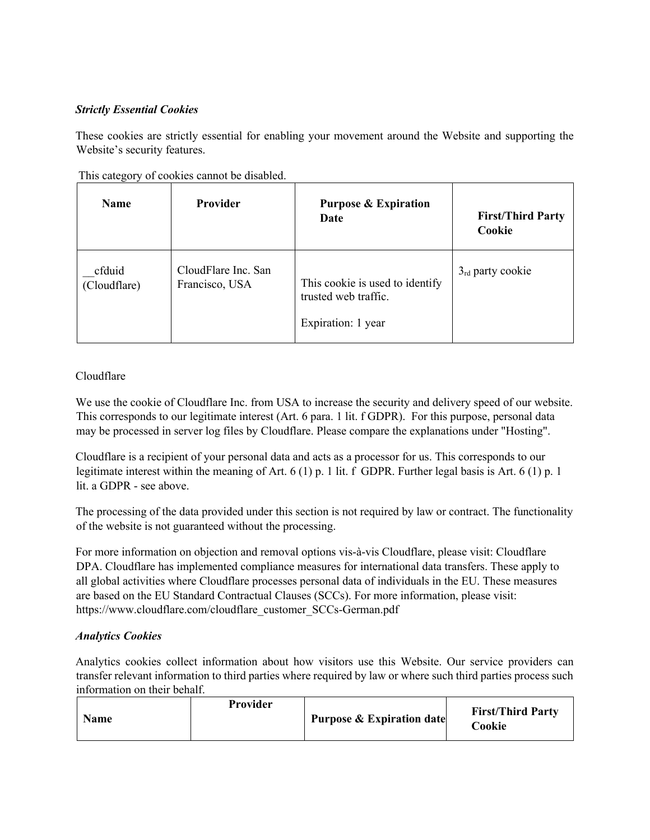# *Strictly Essential Cookies*

These cookies are strictly essential for enabling your movement around the Website and supporting the Website's security features.

| <b>Name</b>            | <b>Provider</b>                       | <b>Purpose &amp; Expiration</b><br>Date                                       | <b>First/Third Party</b><br>Cookie |
|------------------------|---------------------------------------|-------------------------------------------------------------------------------|------------------------------------|
| cfduid<br>(Cloudflare) | CloudFlare Inc. San<br>Francisco, USA | This cookie is used to identify<br>trusted web traffic.<br>Expiration: 1 year | $3rd$ party cookie                 |

This category of cookies cannot be disabled.

# Cloudflare

We use the cookie of Cloudflare Inc. from USA to increase the security and delivery speed of our website. This corresponds to our legitimate interest (Art. 6 para. 1 lit. f GDPR). For this purpose, personal data may be processed in server log files by Cloudflare. Please compare the explanations under "Hosting".

Cloudflare is a recipient of your personal data and acts as a processor for us. This corresponds to our legitimate interest within the meaning of Art. 6 (1) p. 1 lit. f GDPR. Further legal basis is Art. 6 (1) p. 1 lit. a GDPR - see above.

The processing of the data provided under this section is not required by law or contract. The functionality of the website is not guaranteed without the processing.

For more information on objection and removal options vis-à-vis Cloudflare, please visit: Cloudflare DPA. Cloudflare has implemented compliance measures for international data transfers. These apply to all global activities where Cloudflare processes personal data of individuals in the EU. These measures are based on the EU Standard Contractual Clauses (SCCs). For more information, please visit: https://www.cloudflare.com/cloudflare\_customer\_SCCs-German.pdf

## *Analytics Cookies*

Analytics cookies collect information about how visitors use this Website. Our service providers can transfer relevant information to third parties where required by law or where such third parties process such information on their behalf.

| <b>Provider</b><br>Name | <b>Purpose &amp; Expiration date</b> | <b>First/Third Party</b><br>Cookie |
|-------------------------|--------------------------------------|------------------------------------|
|-------------------------|--------------------------------------|------------------------------------|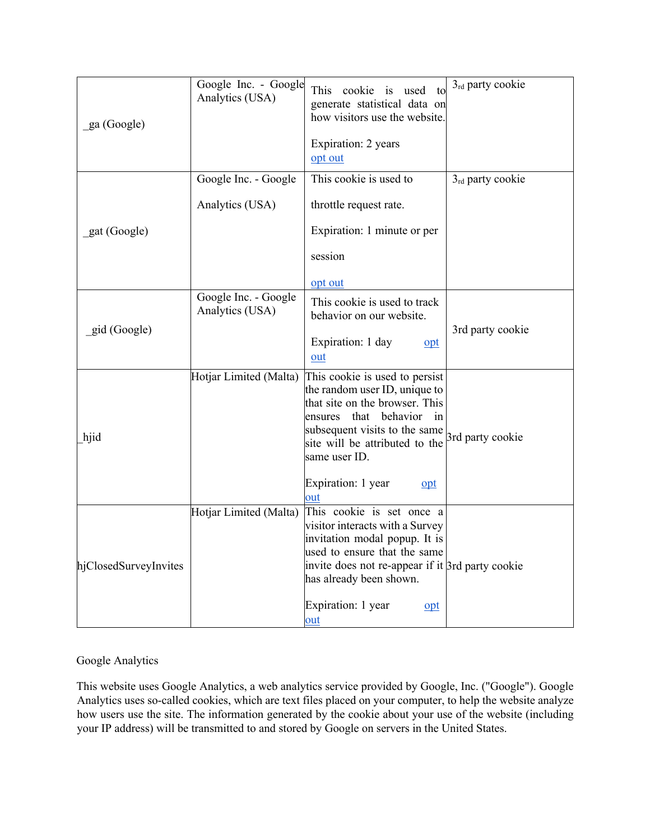| ga (Google)           | Google Inc. - Google<br>Analytics (USA) | This<br>cookie<br>$\frac{1}{1}$<br>used<br>to<br>generate statistical data on<br>how visitors use the website.<br>Expiration: 2 years<br>opt out                                                                        | 3rd party cookie |
|-----------------------|-----------------------------------------|-------------------------------------------------------------------------------------------------------------------------------------------------------------------------------------------------------------------------|------------------|
|                       |                                         |                                                                                                                                                                                                                         |                  |
|                       | Google Inc. - Google                    | This cookie is used to                                                                                                                                                                                                  | 3rd party cookie |
|                       | Analytics (USA)                         | throttle request rate.                                                                                                                                                                                                  |                  |
| gat (Google)          |                                         | Expiration: 1 minute or per                                                                                                                                                                                             |                  |
|                       |                                         | session                                                                                                                                                                                                                 |                  |
|                       |                                         | opt out                                                                                                                                                                                                                 |                  |
|                       | Google Inc. - Google<br>Analytics (USA) | This cookie is used to track<br>behavior on our website.                                                                                                                                                                |                  |
| gid (Google)          |                                         | Expiration: 1 day<br>opt<br><u>out</u>                                                                                                                                                                                  | 3rd party cookie |
| hjid                  | Hotjar Limited (Malta)                  | This cookie is used to persist<br>the random user ID, unique to<br>that site on the browser. This<br>that<br>behavior in<br>ensures<br>subsequent visits to the same<br>site will be attributed to the<br>same user ID. | 3rd party cookie |
|                       |                                         | Expiration: 1 year<br>opt<br>out                                                                                                                                                                                        |                  |
| hjClosedSurveyInvites | Hotjar Limited (Malta)                  | This cookie is set once a<br>visitor interacts with a Survey<br>invitation modal popup. It is<br>used to ensure that the same<br>invite does not re-appear if it 3rd party cookie<br>has already been shown.            |                  |
|                       |                                         | Expiration: 1 year<br><u>opt</u><br>out                                                                                                                                                                                 |                  |

# Google Analytics

This website uses Google Analytics, a web analytics service provided by Google, Inc. ("Google"). Google Analytics uses so-called cookies, which are text files placed on your computer, to help the website analyze how users use the site. The information generated by the cookie about your use of the website (including your IP address) will be transmitted to and stored by Google on servers in the United States.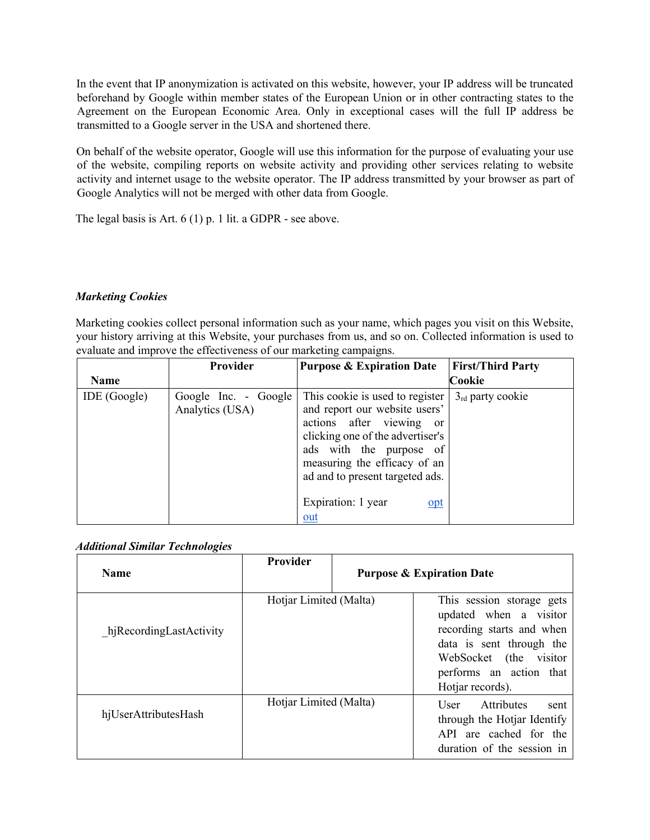In the event that IP anonymization is activated on this website, however, your IP address will be truncated beforehand by Google within member states of the European Union or in other contracting states to the Agreement on the European Economic Area. Only in exceptional cases will the full IP address be transmitted to a Google server in the USA and shortened there.

On behalf of the website operator, Google will use this information for the purpose of evaluating your use of the website, compiling reports on website activity and providing other services relating to website activity and internet usage to the website operator. The IP address transmitted by your browser as part of Google Analytics will not be merged with other data from Google.

The legal basis is Art. 6 (1) p. 1 lit. a GDPR - see above.

## *Marketing Cookies*

Marketing cookies collect personal information such as your name, which pages you visit on this Website, your history arriving at this Website, your purchases from us, and so on. Collected information is used to evaluate and improve the effectiveness of our marketing campaigns.

|              | Provider                                | <b>Purpose &amp; Expiration Date</b>                                                                                                                                                                                                                                                  | <b>First/Third Party</b> |
|--------------|-----------------------------------------|---------------------------------------------------------------------------------------------------------------------------------------------------------------------------------------------------------------------------------------------------------------------------------------|--------------------------|
| Name         |                                         |                                                                                                                                                                                                                                                                                       | Cookie                   |
| IDE (Google) | Google Inc. - Google<br>Analytics (USA) | This cookie is used to register<br>and report our website users'<br>actions after viewing<br><sub>or</sub><br>clicking one of the advertiser's<br>ads with the purpose of<br>measuring the efficacy of an<br>ad and to present targeted ads.<br>Expiration: 1 year<br>$_{\text{opt}}$ | $3rd$ party cookie       |
|              |                                         | $out$                                                                                                                                                                                                                                                                                 |                          |

### *Additional Similar Technologies*

| <b>Name</b>             | <b>Provider</b>        | <b>Purpose &amp; Expiration Date</b>                                                                                                                                                  |
|-------------------------|------------------------|---------------------------------------------------------------------------------------------------------------------------------------------------------------------------------------|
| hjRecordingLastActivity | Hotjar Limited (Malta) | This session storage gets<br>updated when a visitor<br>recording starts and when<br>data is sent through the<br>WebSocket (the visitor<br>performs an action that<br>Hotjar records). |
| hjUserAttributesHash    | Hotjar Limited (Malta) | User Attributes<br>sent<br>through the Hotjar Identify<br>API are cached for the<br>duration of the session in                                                                        |